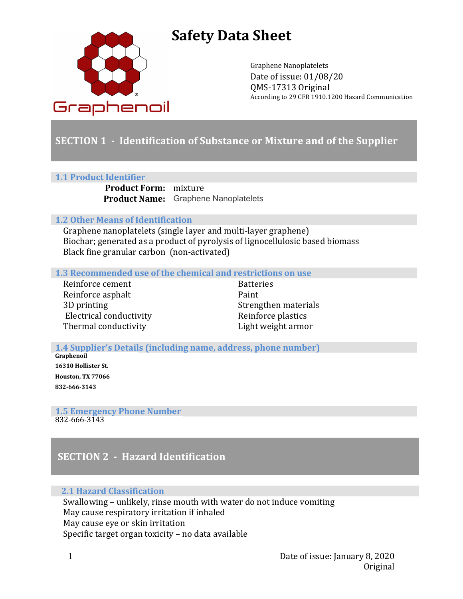

# **Safety Data Sheet**

Graphene Nanoplatelets Date of issue: 01/08/20 QMS-17313 Original According to 29 CFR 1910.1200 Hazard Communication

# **SECTION 1** - Identification of Substance or Mixture and of the Supplier

#### **1.1 Product Identifier**

**Product Form:** mixture Product Name: Graphene Nanoplatelets

### **1.2 Other Means of Identification**

Graphene nanoplatelets (single layer and multi-layer graphene) Biochar; generated as a product of pyrolysis of lignocellulosic based biomass Black fine granular carbon (non-activated)

**1.3** Recommended use of the chemical and restrictions on use

Reinforce cement **Batteries** Reinforce asphalt Paint 3D printing Strengthen materials Electrical conductivity **Reinforce** plastics Thermal conductivity **Example 20** Light weight armor

**1.4 Supplier's Details (including name, address, phone number)** 

**Graphenoil 16310 Hollister St. Houston, TX 77066**  865-376-9002 **832-666-3143**

**1.5 Emergency Phone Number** 832-666-3143

# **SECTION 2 - Hazard Identification**

### **2.1 Hazard Classification**

Swallowing – unlikely, rinse mouth with water do not induce vomiting May cause respiratory irritation if inhaled May cause eye or skin irritation Specific target organ toxicity  $-$  no data available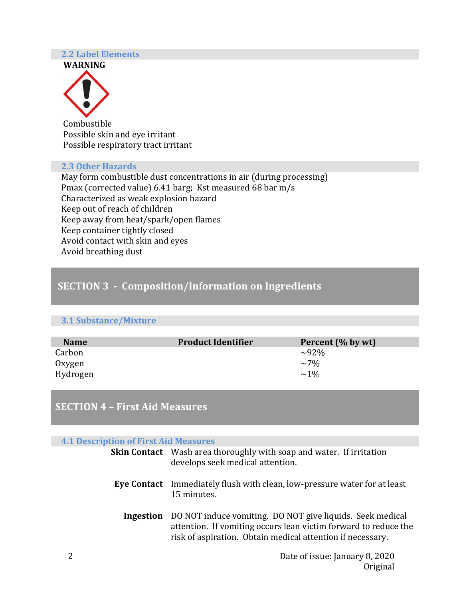#### **2.2 Label Elements**





 Combustible Possible skin and eye irritant Possible respiratory tract irritant

#### **2.3 Other Hazards**

May form combustible dust concentrations in air (during processing) Pmax (corrected value) 6.41 barg; Kst measured 68 bar m/s Characterized as weak explosion hazard Keep out of reach of children Keep away from heat/spark/open flames Keep container tightly closed Avoid contact with skin and eyes Avoid breathing dust

## **SECTION 3 - Composition/Information on Ingredients**

#### **3.1 Substance/Mixture**

| <b>Name</b> | <b>Product Identifier</b> | Percent (% by wt) |
|-------------|---------------------------|-------------------|
| Carbon      |                           | $\sim 92\%$       |
| Oxygen      |                           | $\sim$ 7%         |
| Hydrogen    |                           | $\sim$ 1%         |

# **SECTION 4 - First Aid Measures**

#### **4.1 Description of First Aid Measures**

| <b>Skin Contact</b> Wash area thoroughly with soap and water. If irritation<br>develops seek medical attention.                                                                                             |
|-------------------------------------------------------------------------------------------------------------------------------------------------------------------------------------------------------------|
| <b>Eye Contact</b> Immediately flush with clean, low-pressure water for at least<br>15 minutes.                                                                                                             |
| <b>Ingestion</b> DO NOT induce vomiting. DO NOT give liquids. Seek medical<br>attention. If vomiting occurs lean victim forward to reduce the<br>risk of aspiration. Obtain medical attention if necessary. |
| Date of issue: January 8, 2020                                                                                                                                                                              |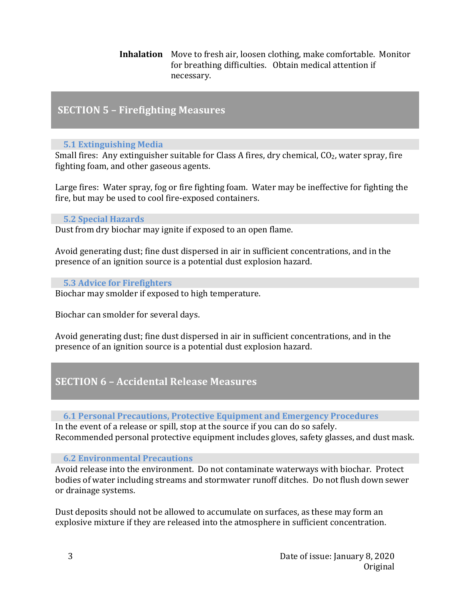**Inhalation** Move to fresh air, loosen clothing, make comfortable. Monitor for breathing difficulties. Obtain medical attention if necessary.

### **SECTION 5 - Firefighting Measures**

### **5.1 Extinguishing Media**

Small fires: Any extinguisher suitable for Class A fires, dry chemical,  $CO<sub>2</sub>$ , water spray, fire fighting foam, and other gaseous agents.

Large fires: Water spray, fog or fire fighting foam. Water may be ineffective for fighting the fire, but may be used to cool fire-exposed containers.

#### **5.2 Special Hazards**

Dust from dry biochar may ignite if exposed to an open flame.

Avoid generating dust; fine dust dispersed in air in sufficient concentrations, and in the presence of an ignition source is a potential dust explosion hazard.

### **5.3 Advice for Firefighters**

Biochar may smolder if exposed to high temperature.

Biochar can smolder for several days.

Avoid generating dust; fine dust dispersed in air in sufficient concentrations, and in the presence of an ignition source is a potential dust explosion hazard.

## **SECTION 6 – Accidental Release Measures**

### **6.1 Personal Precautions, Protective Equipment and Emergency Procedures**

In the event of a release or spill, stop at the source if you can do so safely. Recommended personal protective equipment includes gloves, safety glasses, and dust mask.

### **6.2 Environmental Precautions**

Avoid release into the environment. Do not contaminate waterways with biochar. Protect bodies of water including streams and stormwater runoff ditches. Do not flush down sewer or drainage systems.

Dust deposits should not be allowed to accumulate on surfaces, as these may form an explosive mixture if they are released into the atmosphere in sufficient concentration.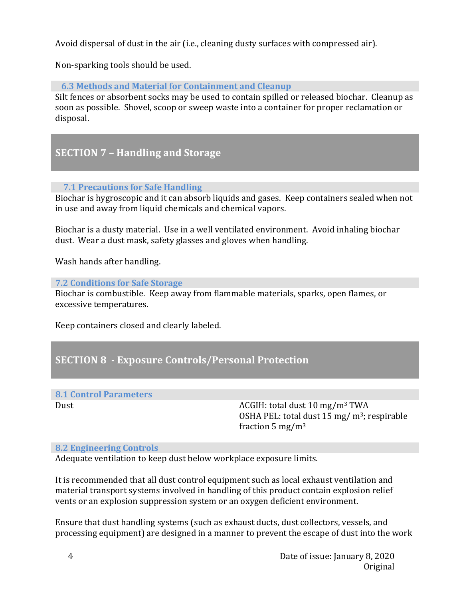Avoid dispersal of dust in the air (i.e., cleaning dusty surfaces with compressed air).

Non-sparking tools should be used.

### **6.3 Methods and Material for Containment and Cleanup**

Silt fences or absorbent socks may be used to contain spilled or released biochar. Cleanup as soon as possible. Shovel, scoop or sweep waste into a container for proper reclamation or disposal.

# **SECTION 7 - Handling and Storage**

### **7.1 Precautions for Safe Handling**

Biochar is hygroscopic and it can absorb liquids and gases. Keep containers sealed when not in use and away from liquid chemicals and chemical vapors.

Biochar is a dusty material. Use in a well ventilated environment. Avoid inhaling biochar dust. Wear a dust mask, safety glasses and gloves when handling.

Wash hands after handling.

### **7.2 Conditions for Safe Storage**

Biochar is combustible. Keep away from flammable materials, sparks, open flames, or excessive temperatures.

Keep containers closed and clearly labeled.

## **SECTION 8 - Exposure Controls/Personal Protection**

### **8.1 Control Parameters**

Dust Dust and Dust and Dust and ACGIH: total dust 10 mg/m<sup>3</sup> TWA OSHA PEL: total dust  $15 \text{ mg/m}^3$ ; respirable fraction  $5 \text{ mg/m}^3$ 

### **8.2 Engineering Controls**

Adequate ventilation to keep dust below workplace exposure limits.

It is recommended that all dust control equipment such as local exhaust ventilation and material transport systems involved in handling of this product contain explosion relief vents or an explosion suppression system or an oxygen deficient environment.

Ensure that dust handling systems (such as exhaust ducts, dust collectors, vessels, and processing equipment) are designed in a manner to prevent the escape of dust into the work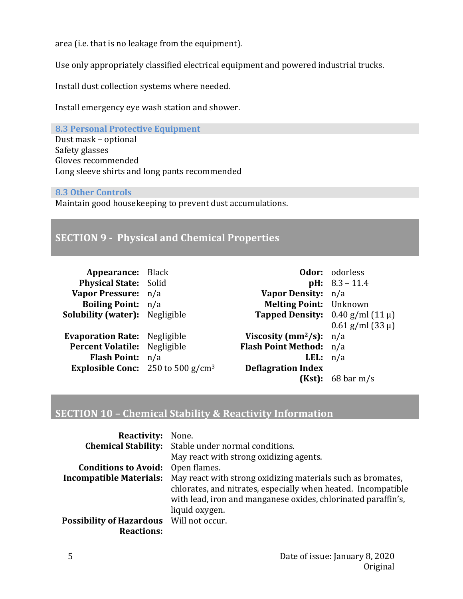area (i.e. that is no leakage from the equipment).

Use only appropriately classified electrical equipment and powered industrial trucks.

Install dust collection systems where needed.

Install emergency eye wash station and shower.

**8.3 Personal Protective Equipment** Dust mask – optional Safety glasses Gloves recommended Long sleeve shirts and long pants recommended

#### **8.3 Other Controls**

Maintain good housekeeping to prevent dust accumulations.

# **SECTION 9 - Physical and Chemical Properties**

| Appearance: Black                           |                                                | <b>Odor:</b> odorless             |
|---------------------------------------------|------------------------------------------------|-----------------------------------|
| <b>Physical State: Solid</b>                |                                                | $pH: 8.3 - 11.4$                  |
| Vapor Pressure: n/a                         | Vapor Density: n/a                             |                                   |
| <b>Boiling Point:</b> n/a                   | <b>Melting Point:</b> Unknown                  |                                   |
| <b>Solubility (water):</b> Negligible       | <b>Tapped Density:</b> $0.40$ g/ml (11 $\mu$ ) |                                   |
|                                             |                                                | $0.61$ g/ml (33 µ)                |
| <b>Evaporation Rate:</b> Negligible         | Viscosity (mm <sup>2</sup> /s): $n/a$          |                                   |
| Percent Volatile: Negligible                | Flash Point Method: n/a                        |                                   |
| Flash Point: n/a                            | <b>LEL</b> : $n/a$                             |                                   |
| <b>Explosible Conc:</b> 250 to 500 $g/cm^3$ | <b>Deflagration Index</b>                      |                                   |
|                                             | (Kst):                                         | $68 \,\mathrm{bar}\,\mathrm{m/s}$ |

## **SECTION 10 - Chemical Stability & Reactivity Information**

| <b>Reactivity:</b>                       | None.                                                                                                                                            |
|------------------------------------------|--------------------------------------------------------------------------------------------------------------------------------------------------|
|                                          | <b>Chemical Stability:</b> Stable under normal conditions.                                                                                       |
|                                          | May react with strong oxidizing agents.                                                                                                          |
| <b>Conditions to Avoid:</b> Open flames. |                                                                                                                                                  |
| <b>Incompatible Materials:</b>           | May react with strong oxidizing materials such as bromates,                                                                                      |
|                                          | chlorates, and nitrates, especially when heated. Incompatible<br>with lead, iron and manganese oxides, chlorinated paraffin's,<br>liquid oxygen. |
| Possibility of Hazardous Will not occur. |                                                                                                                                                  |
| <b>Reactions:</b>                        |                                                                                                                                                  |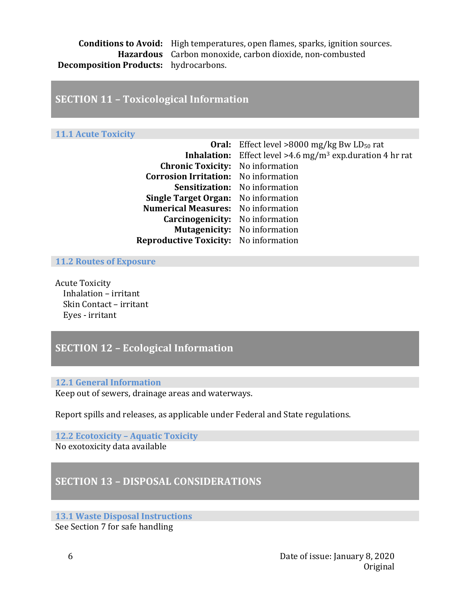**Conditions to Avoid:** High temperatures, open flames, sparks, ignition sources. Hazardous Carbon monoxide, carbon dioxide, non-combusted **Decomposition Products:** hydrocarbons.

### **SECTION 11 - Toxicological Information**

#### **11.1 Acute Toxicity**

|                                              | <b>Oral:</b> Effect level >8000 mg/kg Bw $LD_{50}$ rat                        |
|----------------------------------------------|-------------------------------------------------------------------------------|
|                                              | <b>Inhalation:</b> Effect level > 4.6 mg/m <sup>3</sup> exp.duration 4 hr rat |
| <b>Chronic Toxicity:</b> No information      |                                                                               |
| <b>Corrosion Irritation:</b> No information  |                                                                               |
|                                              | Sensitization: No information                                                 |
| <b>Single Target Organ:</b> No information   |                                                                               |
| <b>Numerical Measures:</b> No information    |                                                                               |
| <b>Carcinogenicity:</b> No information       |                                                                               |
|                                              | <b>Mutagenicity:</b> No information                                           |
| <b>Reproductive Toxicity:</b> No information |                                                                               |
|                                              |                                                                               |

**11.2 Routes of Exposure** 

**Acute Toxicity** Inhalation – irritant Skin Contact – irritant Eyes - irritant

# **SECTION 12 - Ecological Information**

#### **12.1 General Information**

Keep out of sewers, drainage areas and waterways.

Report spills and releases, as applicable under Federal and State regulations.

#### **12.2 Ecotoxicity - Aquatic Toxicity** No exotoxicity data available

### **SECTION 13 - DISPOSAL CONSIDERATIONS**

#### **13.1 Waste Disposal Instructions**

See Section 7 for safe handling